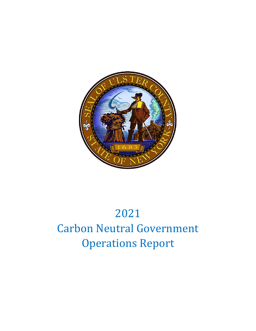

# 2021 Carbon Neutral Government Operations Report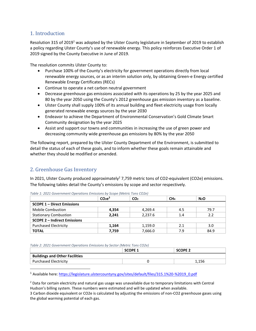# 1. Introduction

Resolution 315 of 2019<sup>1</sup> was adopted by the Ulster County legislature in September of 2019 to establish a policy regarding Ulster County's use of renewable energy. This policy reinforces Executive Order 1 of 2019 signed by the County Executive in June of 2019.

The resolution commits Ulster County to:

- Purchase 100% of the County's electricity for government operations directly from local renewable energy sources, or as an interim solution only, by obtaining Green-e Energy certified Renewable Energy Certificates (RECs)
- Continue to operate a net carbon neutral government
- Decrease greenhouse gas emissions associated with its operations by 25 by the year 2025 and 80 by the year 2050 using the County's 2012 greenhouse gas emission inventory as a baseline.
- Ulster County shall supply 100% of its annual building and fleet electricity usage from locally generated renewable energy sources by the year 2030
- Endeavor to achieve the Department of Environmental Conservation's Gold Climate Smart Community designation by the year 2025
- Assist and support our towns and communities in increasing the use of green power and decreasing community wide greenhouse gas emissions by 80% by the year 2050

The following report, prepared by the Ulster County Department of the Environment, is submitted to detail the status of each of these goals, and to inform whether these goals remain attainable and whether they should be modified or amended.

# 2. Greenhouse Gas Inventory

In 2021, Ulster County produced approximately<sup>2</sup> 7,759 metric tons of CO2-equivalent (CO2e) emissions. The following tables detail the County's emissions by scope and sector respectively.

|                                     | CO <sub>2</sub> e <sup>3</sup> | CO <sub>2</sub> | CH <sub>4</sub> | N <sub>2</sub> O |  |  |
|-------------------------------------|--------------------------------|-----------------|-----------------|------------------|--|--|
| <b>SCOPE 1 - Direct Emissions</b>   |                                |                 |                 |                  |  |  |
| <b>Mobile Combustion</b>            | 4,354                          | 4,269.4         | 4.5             | 79.7             |  |  |
| <b>Stationary Combustion</b>        | 2.241                          | 2.237.6         | 1.4             | 2.2              |  |  |
| <b>SCOPE 2 - Indirect Emissions</b> |                                |                 |                 |                  |  |  |
| <b>Purchased Electricity</b>        | 1,164                          | 1,159.0         | 2.1             | 3.0              |  |  |
| <b>TOTAL</b>                        | 7,759                          | 7,666.0         | 7.9             | 84.9             |  |  |

*Table 1: 2021 Government Operations Emissions by Scope (Metric Tons CO2e)*

*Table 2: 2021 Government Operations Emissions by Sector (Metric Tons CO2e)*

|                                       | SCOPE 1 | <b>SCOPE 2</b> |
|---------------------------------------|---------|----------------|
| <b>Buildings and Other Facilities</b> |         |                |
| <b>Purchased Electricity</b>          |         | 1.156          |

<sup>1</sup> Available here: [https://legislature.ulstercountyny.gov/sites/default/files/315.1%20-%2019\\_0.pdf](https://legislature.ulstercountyny.gov/sites/default/files/315.1%20-%2019_0.pdf)

 $<sup>2</sup>$  Data for certain electricity and natural gas usage was unavailable due to temporary limitations with Central</sup> Hudson's billing system. These numbers were estimated and will be updated when available.

3 Carbon dioxide equivalent or CO2e is calculated by adjusting the emissions of non-CO2 greenhouse gases using the global warming potential of each gas.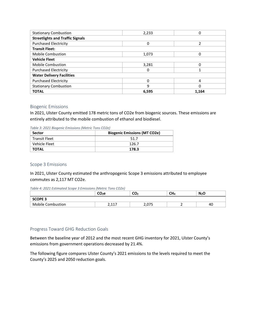| <b>Stationary Combustion</b>            | 2,233 | 0     |  |  |  |
|-----------------------------------------|-------|-------|--|--|--|
| <b>Streetlights and Traffic Signals</b> |       |       |  |  |  |
| <b>Purchased Electricity</b>            | 0     | っ     |  |  |  |
| <b>Transit Fleet:</b>                   |       |       |  |  |  |
| <b>Mobile Combustion</b>                | 1,073 | 0     |  |  |  |
| <b>Vehicle Fleet</b>                    |       |       |  |  |  |
| <b>Mobile Combustion</b>                | 3,281 |       |  |  |  |
| <b>Purchased Electricity</b>            | 0     |       |  |  |  |
| <b>Water Delivery Facilities</b>        |       |       |  |  |  |
| <b>Purchased Electricity</b>            | 0     | 4     |  |  |  |
| <b>Stationary Combustion</b>            | 9     | 0     |  |  |  |
| <b>TOTAL</b>                            | 6.595 | 1.164 |  |  |  |

#### Biogenic Emissions

In 2021, Ulster County emitted 178 metric tons of CO2e from biogenic sources. These emissions are entirely attributed to the mobile combustion of ethanol and biodiesel.

*Table 3: 2021 Biogenic Emissions (Metric Tons CO2e)*

| Sector               | <b>Biogenic Emissions (MT CO2e)</b> |  |  |
|----------------------|-------------------------------------|--|--|
| <b>Transit Fleet</b> | 51.7                                |  |  |
| Vehicle Fleet        | 126.7                               |  |  |
| <b>TOTAL</b>         | 178.3                               |  |  |

#### Scope 3 Emissions

In 2021, Ulster County estimated the anthropogenic Scope 3 emissions attributed to employee commutes as 2,117 MT CO2e.

*Table 4: 2021 Estimated Scope 3 Emissions (Metric Tons CO2e)*

|                          | CO <sub>2</sub> e | ~~<br>CU2 | CH <sub>4</sub> | N <sub>2</sub> O |  |
|--------------------------|-------------------|-----------|-----------------|------------------|--|
| <b>SCOPE 3</b>           |                   |           |                 |                  |  |
| <b>Mobile Combustion</b> | <b>CPP C</b>      | 7۳ -      | -               | 40               |  |

#### Progress Toward GHG Reduction Goals

Between the baseline year of 2012 and the most recent GHG inventory for 2021, Ulster County's emissions from government operations decreased by 21.4%.

The following figure compares Ulster County's 2021 emissions to the levels required to meet the County's 2025 and 2050 reduction goals.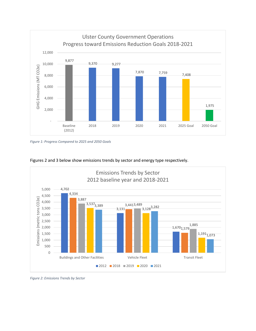

*Figure 1: Progress Compared to 2025 and 2050 Goals*



Figures 2 and 3 below show emissions trends by sector and energy type respectively.

*Figure 2: Emissions Trends by Sector*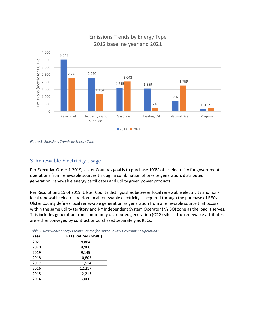

*Figure 3: Emissions Trends by Energy Type*

### 3. Renewable Electricity Usage

Per Executive Order 1-2019, Ulster County's goal is to purchase 100% of its electricity for government operations from renewable sources through a combination of on-site generation, distributed generation, renewable energy certificates and utility green power products.

Per Resolution 315 of 2019, Ulster County distinguishes between local renewable electricity and nonlocal renewable electricity. Non-local renewable electricity is acquired through the purchase of RECs. Ulster County defines local renewable generation as generation from a renewable source that occurs within the same utility territory and NY Independent System Operator (NYISO) zone as the load it serves. This includes generation from community distributed generation (CDG) sites if the renewable attributes are either conveyed by contract or purchased separately as RECs.

| Year | <b>RECs Retired (MWH)</b> |
|------|---------------------------|
| 2021 | 8,864                     |
| 2020 | 8,906                     |
| 2019 | 9,149                     |
| 2018 | 10,803                    |
| 2017 | 11,914                    |
| 2016 | 12,217                    |
| 2015 | 12,215                    |
| 2014 | 6,000                     |

*Table 5: Renewable Energy Credits Retired for Ulster County Government Operations*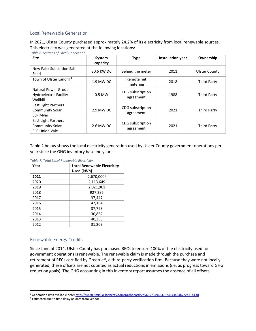#### Local Renewable Generation

In 2021, Ulster County purchased approximately 24.2% of its electricity from local renewable sources. This electricity was generated at the following locations:

*Table 6: Sources of Local Generation*

| <b>Site</b>                                                                   | System<br>capacity | <b>Type</b>                   | <b>Installation year</b> | Ownership            |
|-------------------------------------------------------------------------------|--------------------|-------------------------------|--------------------------|----------------------|
| New Paltz Substation Salt<br>Shed                                             | 30.6 KW DC         | Behind the meter              | 2011                     | <b>Ulster County</b> |
| Town of Ulster Landfill <sup>4</sup>                                          | 1.9 MW DC          | Remote net<br>metering        | 2018                     | <b>Third Party</b>   |
| Natural Power Group<br><b>Hydroelectric Facility</b><br>Wallkill              | 0.5 MW             | CDG subscription<br>agreement | 1988                     | Third Party          |
| East Light Partners<br><b>Community Solar</b><br><b>ELP Myer</b>              | 2.9 MW DC          | CDG subscription<br>agreement | 2021                     | <b>Third Party</b>   |
| <b>East Light Partners</b><br><b>Community Solar</b><br><b>ELP Union Vale</b> | 2.6 MW DC          | CDG subscription<br>agreement | 2021                     | <b>Third Party</b>   |

Table 2 below shows the local electricity generation used by Ulster County government operations per year since the GHG inventory baseline year.

| Year | <b>Local Renewable Electricity</b> |  |
|------|------------------------------------|--|
|      | Used (kWh)                         |  |
| 2021 | 2,670,000 <sup>5</sup>             |  |
| 2020 | 2,113,649                          |  |
| 2019 | 2,021,961                          |  |
| 2018 | 927,285                            |  |
| 2017 | 37,447                             |  |
| 2016 | 42,164                             |  |
| 2015 | 37,793                             |  |
| 2014 | 36,862                             |  |
| 2013 | 40,358                             |  |
| 2012 | 31,203                             |  |

#### Renewable Energy Credits

Since June of 2014, Ulster County has purchased RECs to ensure 100% of the electricity used for government operations is renewable. The renewable claim is made through the purchase and retirement of RECs certified by Green-e®, a third-party verification firm. Because they were not locally generated, these offsets are not counted as actual reductions in emissions (i.e. as progress toward GHG reduction goals). The GHG accounting in this inventory report assumes the absence of all offsets.

<sup>4</sup> Generation data available here:<http://s44709.mini.alsoenergy.com/Dashboard/2a566973496547374143454b772b71413d>

<sup>5</sup> Estimated due to time delay on data from vendor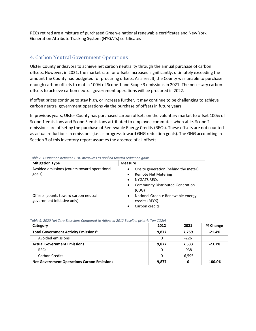RECs retired are a mixture of purchased Green-e national renewable certificates and New York Generation Attribute Tracking System (NYGATs) certificates

# 4. Carbon Neutral Government Operations

Ulster County endeavors to achieve net carbon neutrality through the annual purchase of carbon offsets. However, in 2021, the market rate for offsets increased significantly, ultimately exceeding the amount the County had budgeted for procuring offsets. As a result, the County was unable to purchase enough carbon offsets to match 100% of Scope 1 and Scope 3 emissions in 2021. The necessary carbon offsets to achieve carbon neutral government operations will be procured in 2022.

If offset prices continue to stay high, or increase further, it may continue to be challenging to achieve carbon neutral government operations via the purchase of offsets in future years.

In previous years, Ulster County has purchased carbon offsets on the voluntary market to offset 100% of Scope 1 emissions and Scope 3 emissions attributed to employee commutes when able. Scope 2 emissions are offset by the purchase of Renewable Energy Credits (RECs). These offsets are not counted as actual reductions in emissions (i.e. as progress toward GHG reduction goals). The GHG accounting in Section 3 of this inventory report assumes the absence of all offsets.

| <b>Mitigation Type</b>                       | <b>Measure</b>                                       |
|----------------------------------------------|------------------------------------------------------|
| Avoided emissions (counts toward operational | Onsite generation (behind the meter)                 |
| goals)                                       | <b>Remote Net Metering</b><br>$\bullet$              |
|                                              | <b>NYGATS RECS</b><br>$\bullet$                      |
|                                              | <b>Community Distributed Generation</b><br>$\bullet$ |
|                                              | (CDG)                                                |
| Offsets (counts toward carbon neutral        | National Green-e Renewable energy<br>$\bullet$       |
| government initiative only)                  | credits (RECS)                                       |
|                                              | Carbon credits                                       |

*Table 8: Distinction between GHG measures as applied toward reduction goals*

| Table 9: 2020 Net Zero Emissions Compared to Adjusted 2012 Baseline (Metric Ton CO2e) |  |  |  |
|---------------------------------------------------------------------------------------|--|--|--|
|                                                                                       |  |  |  |

| Category                                          | 2012  | 2021     | % Change  |
|---------------------------------------------------|-------|----------|-----------|
| Total Government Activity Emissions <sup>1</sup>  | 9,877 | 7,759    | $-21.4%$  |
| Avoided emissions                                 | 0     | $-226$   |           |
| <b>Actual Government Emissions</b>                | 9,877 | 7,533    | $-23.7%$  |
| <b>RECs</b>                                       | 0     | -938     |           |
| <b>Carbon Credits</b>                             | 0     | $-6,595$ |           |
| <b>Net Government Operations Carbon Emissions</b> | 9,877 |          | $-100.0%$ |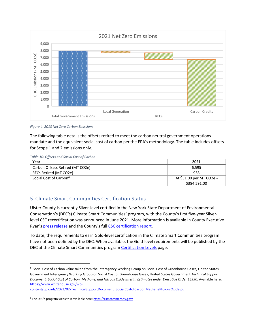

*Figure 4: 2018 Net Zero Carbon Emissions*

The following table details the offsets retired to meet the carbon neutral government operations mandate and the equivalent social cost of carbon per the EPA's methodology. The table includes offsets for Scope 1 and 2 emissions only.

*Table 10: Offsets and Social Cost of Carbon*

| Year                               | 2021                     |
|------------------------------------|--------------------------|
| Carbon Offsets Retired (MT CO2e)   | 6.595                    |
| RECs Retired (MT CO2e)             | 938                      |
| Social Cost of Carbon <sup>6</sup> | At \$51.00 per MT CO2e = |
|                                    | \$384,591.00             |

# 5. Climate Smart Communities Certification Status

Ulster County is currently Silver-level certified in the New York State Department of Environmental Conservation's (DEC's) Climate Smart Communities<sup>7</sup> program, with the County's first five-year Silverlevel CSC recertification was announced in June 2021. More information is available in County Executive Ryan's [press release](https://ulstercountyny.gov/news/executive/county-executive-pat-ryan-announces-ulster-county-has-earned-silver-level) and the County's full [CSC certification report.](https://climatesmart.ny.gov/actions-certification/participating-communities/certification-report/?tx_sjcert_certification%5Bcertification%5D%5B__identity%5D=98&tx_sjcert_certification%5Baction%5D=show&tx_sjcert_certification%5Bcontroller%5D=Certification&cHash=b924afd66a97292d526d4dae03aa4fbf)

To date, the requirements to earn Gold-level certification in the Climate Smart Communities program have not been defined by the DEC. When available, the Gold-level requirements will be published by the DEC at the Climate Smart Communities program [Certification Levels](https://climatesmart.ny.gov/actions-certification/certification-overview/certification-levels/) page.

[content/uploads/2021/02/TechnicalSupportDocument\\_SocialCostofCarbonMethaneNitrousOxide.pdf](https://www.whitehouse.gov/wp-content/uploads/2021/02/TechnicalSupportDocument_SocialCostofCarbonMethaneNitrousOxide.pdf)

<sup>&</sup>lt;sup>6</sup> Social Cost of Carbon value taken from the Interagency Working Group on Social Cost of Greenhouse Gases, United States Government Interagency Working Group on Social Cost of Greenhouse Gases, United States Government *Technical Support*  Document: Social Cost of Carbon, Methane, and Nitrous Oxide Interim Estimates under Executive Order 13990. Available here: [https://www.whitehouse.gov/wp-](https://www.whitehouse.gov/wp-content/uploads/2021/02/TechnicalSupportDocument_SocialCostofCarbonMethaneNitrousOxide.pdf)

<sup>&</sup>lt;sup>7</sup> The DEC's program website is available here: <https://climatesmart.ny.gov/>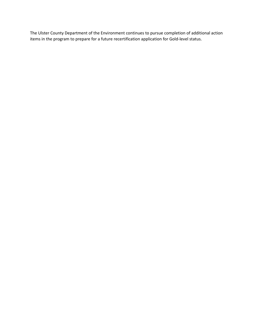The Ulster County Department of the Environment continues to pursue completion of additional action items in the program to prepare for a future recertification application for Gold-level status.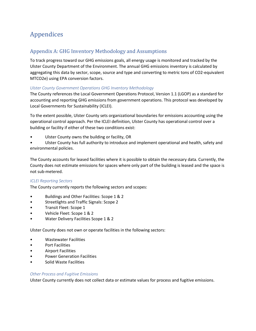# Appendices

# Appendix A: GHG Inventory Methodology and Assumptions

To track progress toward our GHG emissions goals, all energy usage is monitored and tracked by the Ulster County Department of the Environment. The annual GHG emissions inventory is calculated by aggregating this data by sector, scope, source and type and converting to metric tons of CO2-equivalent MTCO2e) using EPA conversion factors.

#### *Ulster County Government Operations GHG Inventory Methodology*

The County references the Local Government Operations Protocol, Version 1.1 (LGOP) as a standard for accounting and reporting GHG emissions from government operations. This protocol was developed by Local Governments for Sustainability (ICLEI).

To the extent possible, Ulster County sets organizational boundaries for emissions accounting using the operational control approach. Per the ICLEI definition, Ulster County has operational control over a building or facility if either of these two conditions exist:

- Ulster County owns the building or facility, OR
- Ulster County has full authority to introduce and implement operational and health, safety and environmental policies.

The County accounts for leased facilities where it is possible to obtain the necessary data. Currently, the County does not estimate emissions for spaces where only part of the building is leased and the space is not sub-metered.

#### *ICLEI Reporting Sectors*

The County currently reports the following sectors and scopes:

- Buildings and Other Facilities: Scope 1 & 2
- Streetlights and Traffic Signals: Scope 2
- Transit Fleet: Scope 1
- Vehicle Fleet: Scope 1 & 2
- Water Delivery Facilities Scope 1 & 2

Ulster County does not own or operate facilities in the following sectors:

- Wastewater Facilities
- Port Facilities
- Airport Facilities
- Power Generation Facilities
- Solid Waste Facilities

#### *Other Process and Fugitive Emissions*

Ulster County currently does not collect data or estimate values for process and fugitive emissions.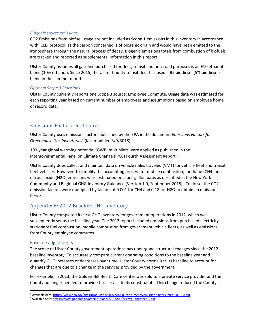#### *Biogenic source emissions*

CO2 Emissions from biofuel usage are not included as Scope 1 emissions in this inventory in accordance with ICLEI protocol, as the carbon concerned is of biogenic origin and would have been emitted to the atmosphere through the natural process of decay. Biogenic emissions totals from combustion of biofuels are tracked and reported as supplemental information in this report.

Ulster County assumes all gasoline purchased for fleet, transit and non-road purposes is an E10 ethanol blend (10% ethanol). Since 2015, the Ulster County transit fleet has used a B5 biodiesel (5% biodiesel) blend in the summer months.

#### *Optional Scope 3 Emissions*

Ulster County currently reports one Scope 3 source: Employee Commute. Usage data was estimated for each reporting year based on current number of employees and assumptions based on employee home of record data.

## Emissions Factors Disclosure

Ulster County uses emissions factors published by the EPA in the document *Emissions Factors for Greenhouse Gas Inventories<sup>8</sup>* (last modified 3/9/3018).

100-year global warming potential (GWP) multipliers were applied as published in the Intergovernmental Panel on Climate Change (IPCC) Fourth Assessment Report.<sup>9</sup>

Ulster County does collect and maintain data on vehicle miles traveled (VMT) for vehicle fleet and transit fleet vehicles. However, to simplify the accounting process for mobile combustion, methane (CH4) and nitrous oxide (N2O) emissions were estimated on a per-gallon basis as described in the New York Community and Regional GHG Inventory Guidance (Version 1.0, September 2015). To do so, the CO2 emission factors were multiplied by factors of 0.001 for CH4 and 0.18 for N2O to obtain an emissions factor.

# Appendix B: 2012 Baseline GHG Inventory

Ulster County completed its first GHG inventory for government operations in 2012, which was subsequently set as the baseline year. The 2012 report included emissions from purchased electricity, stationary fuel combustion, mobile combustion from government vehicle fleets, as well as emissions from County employee commutes.

#### Baseline adjustments

The scope of Ulster County government operations has undergone structural changes since the 2012 baseline inventory. To accurately compare current operating conditions to the baseline year and quantify GHG increases or decreases over time, Ulster County normalizes its baseline to account for changes that are due to a change in the services provided by the government.

For example, in 2013, the Golden Hill Health Care center was sold to a private service provider and the County no longer needed to provide this service to its constituents. This change reduced the County's

<sup>8</sup> Available here[: https://www.epa.gov/sites/production/files/2018-03/documents/emission-factors\\_mar\\_2018\\_0.pdf](https://www.epa.gov/sites/production/files/2018-03/documents/emission-factors_mar_2018_0.pdf)

<sup>9</sup> Available here[: https://www.ipcc.ch/site/assets/uploads/2018/02/ar4-wg1-chapter2-1.pdf](https://www.ipcc.ch/site/assets/uploads/2018/02/ar4-wg1-chapter2-1.pdf)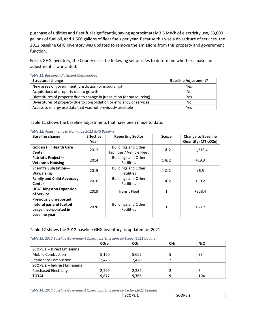purchase of utilities and fleet fuel significantly, saving approximately 3.5 MWh of electricity use, 53,000 gallons of fuel oil, and 1,500 gallons of fleet fuels per year. Because this was a divestiture of services, the 2012 baseline GHG inventory was updated to remove the emissions from this property and government function.

For its GHG inventory, the County uses the following set of rules to determine whether a baseline adjustment is warranted:

| <b>Structural change</b>                                                | <b>Baseline Adjustment?</b> |
|-------------------------------------------------------------------------|-----------------------------|
| New areas of government jurisdiction (or insourcing)                    | Yes.                        |
| Acquisitions of property due to growth                                  | No.                         |
| Divestitures of property due to change in jurisdiction (or outsourcing) | Yes                         |
| Divestitures of property due to consolidation or efficiency of services | No.                         |
| Access to energy use data that was not previously available             | Yes                         |

*Table 11: Baseline Adjustment Methodology*

Table 11 shows the baseline adjustments that have been made to date.

| <b>Baseline change</b>           | <b>Effective</b> | <b>Reporting Sector</b>    | Scope        | <b>Change to Baseline</b> |
|----------------------------------|------------------|----------------------------|--------------|---------------------------|
|                                  | Year             |                            |              | Quantity (MT cO2e)        |
| <b>Golden Hill Health Care</b>   | 2012             | <b>Buildings and Other</b> | 1 & 2        |                           |
| Center                           |                  | Facilities / Vehicle Fleet |              | $-1,216.4$                |
| Patriot's Project-               | 2014             | <b>Buildings and Other</b> | 1&2          | $+19.3$                   |
| <b>Veteran's Housing</b>         |                  | <b>Facilities</b>          |              |                           |
| Sheriff's Substation-            |                  | <b>Buildings and Other</b> | 1& 2         | $+6.5$                    |
| <b>Wawarsing</b>                 | 2015             | <b>Facilities</b>          |              |                           |
| <b>Family and Child Advocacy</b> | 2016             | <b>Buildings and Other</b> | 1 & 2        | $+10.2$                   |
| <b>Center</b>                    |                  | <b>Facilities</b>          |              |                           |
| <b>UCAT Kingston Expansion</b>   | 2019             | <b>Transit Fleet</b>       | 1            |                           |
| of Service                       |                  |                            |              | $+358.4$                  |
| <b>Previously unreported</b>     |                  |                            |              |                           |
| natural gas and fuel oil         | 2020             | <b>Buildings and Other</b> | $\mathbf{1}$ | $+53.7$                   |
| usage incorporated in            |                  | <b>Facilities</b>          |              |                           |
| baseline year                    |                  |                            |              |                           |

*Table 12: Adjustments to Normalize 2012 GHG Baseline*

#### Table 12 shows the 2012 baseline GHG inventory as updated for 2021.

| Table 13: 2012 Baseline Government Operations Emissions by Scope (2021 Update) |  |
|--------------------------------------------------------------------------------|--|
|--------------------------------------------------------------------------------|--|

|                                     | CO <sub>2</sub> e | CO <sub>2</sub> | CH <sub>4</sub> | N <sub>2</sub> O |
|-------------------------------------|-------------------|-----------------|-----------------|------------------|
| <b>SCOPE 1 - Direct Emissions</b>   |                   |                 |                 |                  |
| <b>Mobile Combustion</b>            | 5.160             | 5,062           |                 | 93               |
| <b>Stationary Combustion</b>        | 2.426             | 2.420           |                 |                  |
| <b>SCOPE 2 - Indirect Emissions</b> |                   |                 |                 |                  |
| <b>Purchased Electricity</b>        | 2.290             | 2,282           |                 | b                |
| <b>TOTAL</b>                        | 9,877             | 9.763           | 9               | 104              |

| Table 14: 2012 Baseline Government Operations Emissions by Sector (2021 Update) |         |
|---------------------------------------------------------------------------------|---------|
|                                                                                 | SCOPE 1 |

| <b>SCOPE 1</b><br>- - | <b>SCOPE 2</b> |
|-----------------------|----------------|
|                       |                |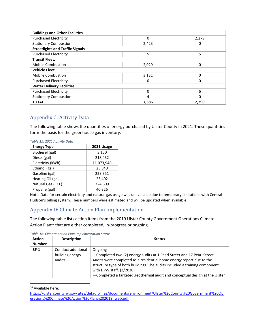| <b>Buildings and Other Facilities</b>   |       |          |  |
|-----------------------------------------|-------|----------|--|
| <b>Purchased Electricity</b>            | 0     | 2,279    |  |
| <b>Stationary Combustion</b>            | 2,423 | 0        |  |
| <b>Streetlights and Traffic Signals</b> |       |          |  |
| <b>Purchased Electricity</b>            | 5     | 5        |  |
| <b>Transit Fleet:</b>                   |       |          |  |
| <b>Mobile Combustion</b>                | 2,029 | 0        |  |
| <b>Vehicle Fleet</b>                    |       |          |  |
| <b>Mobile Combustion</b>                | 3,131 | 0        |  |
| <b>Purchased Electricity</b>            | 0     | $\Omega$ |  |
| <b>Water Delivery Facilities</b>        |       |          |  |
| <b>Purchased Electricity</b>            | 0     | 6        |  |
| <b>Stationary Combustion</b>            | 4     | O        |  |
| <b>TOTAL</b>                            | 7,586 | 2.290    |  |

# Appendix C: Activity Data

The following table shows the quantities of energy purchased by Ulster County in 2021. These quantities form the basis for the greenhouse gas inventory.

| <b>Energy Type</b> | 2021 Usage |
|--------------------|------------|
| Biodiesel (gal)    | 3,150      |
| Diesel (gal)       | 218,432    |
| Electricity (kWh)  | 11,073,948 |
| Ethanol (gal)      | 25,840     |
| Gasoline (gal)     | 228,351    |
| Heating Oil (gal)  | 23,402     |
| Natural Gas (CCF)  | 324,609    |
| Propane (gal)      | 40.326     |

*Table 15: 2021 Activity Data*

Note: Data for certain electricity and natural gas usage was unavailable due to temporary limitations with Central Hudson's billing system. These numbers were estimated and will be updated when available.

# Appendix D: Climate Action Plan Implementation

The following table lists action items from the 2019 Ulster County Government Operations Climate Action Plan<sup>10</sup> that are either completed, in-progress or ongoing.

| <b>Action</b><br><b>Number</b> | <b>Description</b>                              | <b>Status</b>                                                                                                                                                                                                                                                                                                                                      |
|--------------------------------|-------------------------------------------------|----------------------------------------------------------------------------------------------------------------------------------------------------------------------------------------------------------------------------------------------------------------------------------------------------------------------------------------------------|
| <b>BF-1</b>                    | Conduct additional<br>building energy<br>audits | Ongoing<br>-Completed two (2) energy audits at 1 Pearl Street and 17 Pearl Street.<br>Audits were completed as a residential home energy report due to the<br>structure type of both buildings. The audits included a training component<br>with DPW staff. (3/2020)<br>-Completed a targeted geothermal audit and conceptual design at the Ulster |

*Table 16: Climate Action Plan Implementation Status*

<sup>10</sup> Available here:

[https://ulstercountyny.gov/sites/default/files/documents/environment/Ulster%20County%20Government%20Op](https://ulstercountyny.gov/sites/default/files/documents/environment/Ulster%20County%20Government%20Operations%20Climate%20Action%20Plan%202019_web.pdf) [erations%20Climate%20Action%20Plan%202019\\_web.pdf](https://ulstercountyny.gov/sites/default/files/documents/environment/Ulster%20County%20Government%20Operations%20Climate%20Action%20Plan%202019_web.pdf)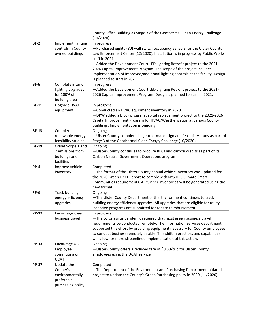|              |                                                                              | County Office Building as Stage 3 of the Geothermal Clean Energy Challenge<br>(10/2020)                                                                                                                                                                                                                                                                                                                                                                           |
|--------------|------------------------------------------------------------------------------|-------------------------------------------------------------------------------------------------------------------------------------------------------------------------------------------------------------------------------------------------------------------------------------------------------------------------------------------------------------------------------------------------------------------------------------------------------------------|
| $BF-2$       | Implement lighting<br>controls in County<br>owned buildings                  | In progress<br>-Purchased eighty (80) wall switch occupancy sensors for the Ulster County<br>Law Enforcement Center (12/2020). Installation is in progress by Public Works<br>staff in 2021.<br>-Added the Development Court LED Lighting Retrofit project to the 2021-<br>2026 Capital Improvement Program. The scope of the project includes<br>implementation of improved/additional lighting controls at the facility. Design<br>is planned to start in 2021. |
| <b>BF-6</b>  | Complete interior<br>lighting upgrades<br>for 100% of<br>building area       | In progress<br>-Added the Development Court LED Lighting Retrofit project to the 2021-<br>2026 Capital Improvement Program. Design is planned to start in 2021.                                                                                                                                                                                                                                                                                                   |
| <b>BF-11</b> | Upgrade HVAC<br>equipment                                                    | In progress<br>-Conducted an HVAC equipment inventory in 2020.<br>-DPW added a block program capital replacement project to the 2021-2026<br>Capital Improvement Program for HVAC/Weatherization at various County<br>buildings. Implementation is ongoing.                                                                                                                                                                                                       |
| <b>BF-13</b> | Complete<br>renewable energy<br>feasibility studies                          | Ongoing<br>-Ulster County completed a geothermal design and feasibility study as part of<br>Stage 3 of the Geothermal Clean Energy Challenge (10/2020)                                                                                                                                                                                                                                                                                                            |
| <b>BF-19</b> | Offset Scope 1 and<br>2 emissions from<br>buildings and<br>facilities        | Ongoing<br>-Ulster County continues to procure RECs and carbon credits as part of its<br>Carbon Neutral Government Operations program.                                                                                                                                                                                                                                                                                                                            |
| <b>PP-4</b>  | Improve vehicle<br>inventory                                                 | Completed<br>-The format of the Ulster County annual vehicle inventory was updated for<br>the 2020 Green Fleet Report to comply with NYS DEC Climate Smart<br>Communities requirements. All further inventories will be generated using the<br>new format.                                                                                                                                                                                                        |
| <b>PP-6</b>  | <b>Track building</b><br>energy efficiency<br>upgrades                       | Ongoing<br>-The Ulster County Department of the Environment continues to track<br>building energy efficiency upgrades. All upgrades that are eligible for utility<br>incentive programs are submitted for rebate reimbursement.                                                                                                                                                                                                                                   |
| <b>PP-12</b> | Encourage green<br>business travel                                           | In progress<br>-The coronavirus pandemic required that most green business travel<br>requirements be conducted remotely. The Information Services department<br>supported this effort by providing equipment necessary for County employees<br>to conduct business remotely as able. This shift in practices and capabilities<br>will allow for more streamlined implementation of this action.                                                                   |
| <b>PP-13</b> | Encourage UC<br>Employee<br>commuting on<br><b>UCAT</b>                      | Ongoing<br>-Ulster County offers a reduced fare of \$0.30/trip for Ulster County<br>employees using the UCAT service.                                                                                                                                                                                                                                                                                                                                             |
| <b>PP-17</b> | Update the<br>County's<br>environmentally<br>preferable<br>purchasing policy | Completed<br>-The Department of the Environment and Purchasing Department initiated a<br>project to update the County's Green Purchasing policy in 2020 (11/2020).                                                                                                                                                                                                                                                                                                |